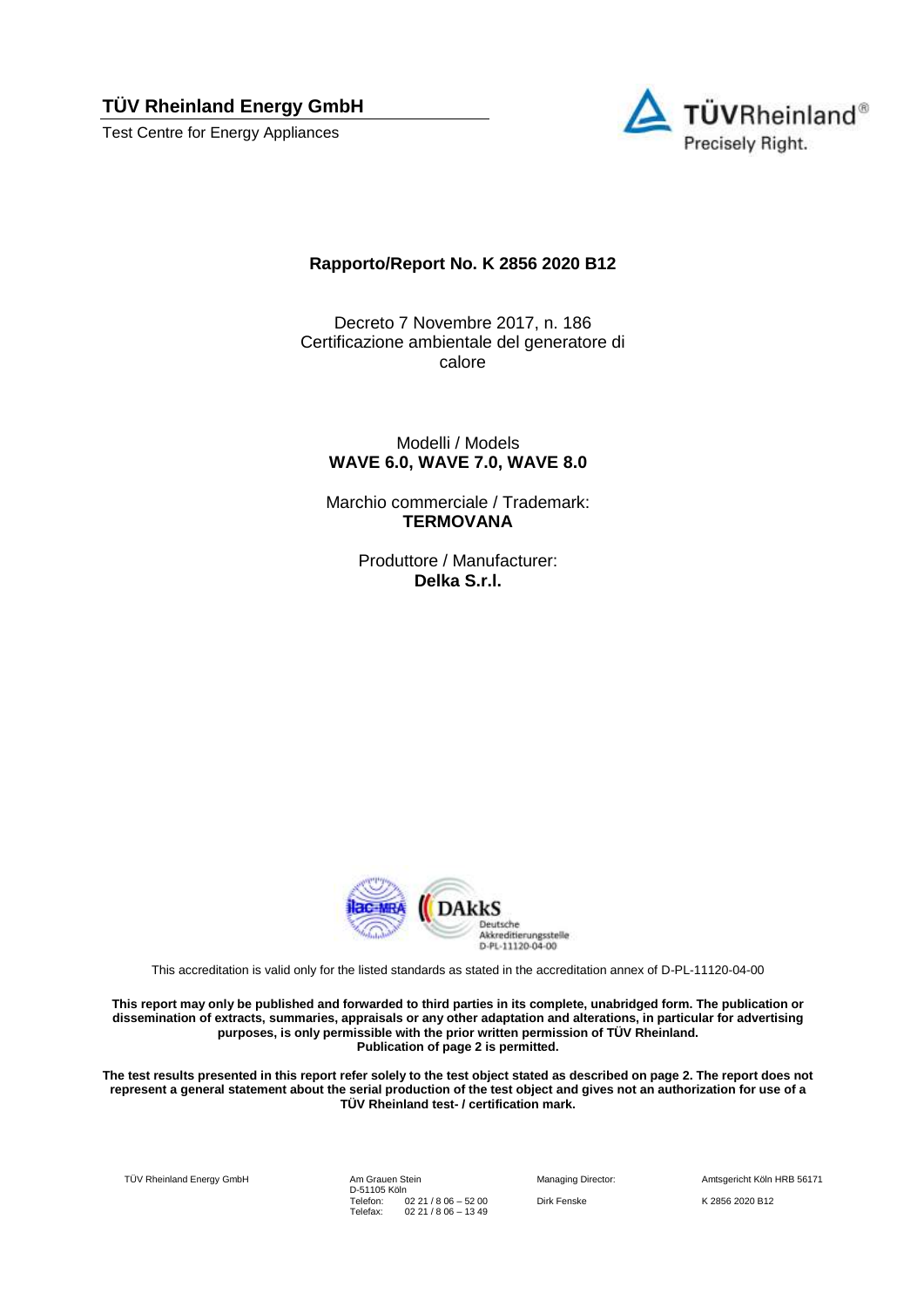Test Centre for Energy Appliances



### **Rapporto/Report No. K 2856 2020 B12**

Decreto 7 Novembre 2017, n. 186 Certificazione ambientale del generatore di calore

Modelli / Models **WAVE 6.0, WAVE 7.0, WAVE 8.0**

Marchio commerciale / Trademark: **TERMOVANA**

> Produttore / Manufacturer: **Delka S.r.l.**



This accreditation is valid only for the listed standards as stated in the accreditation annex of D-PL-11120-04-00

**This report may only be published and forwarded to third parties in its complete, unabridged form. The publication or dissemination of extracts, summaries, appraisals or any other adaptation and alterations, in particular for advertising purposes, is only permissible with the prior written permission of TÜV Rheinland. Publication of page 2 is permitted.**

**The test results presented in this report refer solely to the test object stated as described on page 2. The report does not represent a general statement about the serial production of the test object and gives not an authorization for use of a TÜV Rheinland test- / certification mark.**

TÜV Rheinland Energy GmbH Am Grauen Stein

D-51105 Köln Telefon: Telefax: 02 21 / 8 06 – 52 00 02 21 / 8 06 – 13 49

Dirk Fenske K 2856 2020 B12

Managing Director: Amtsgericht Köln HRB 56171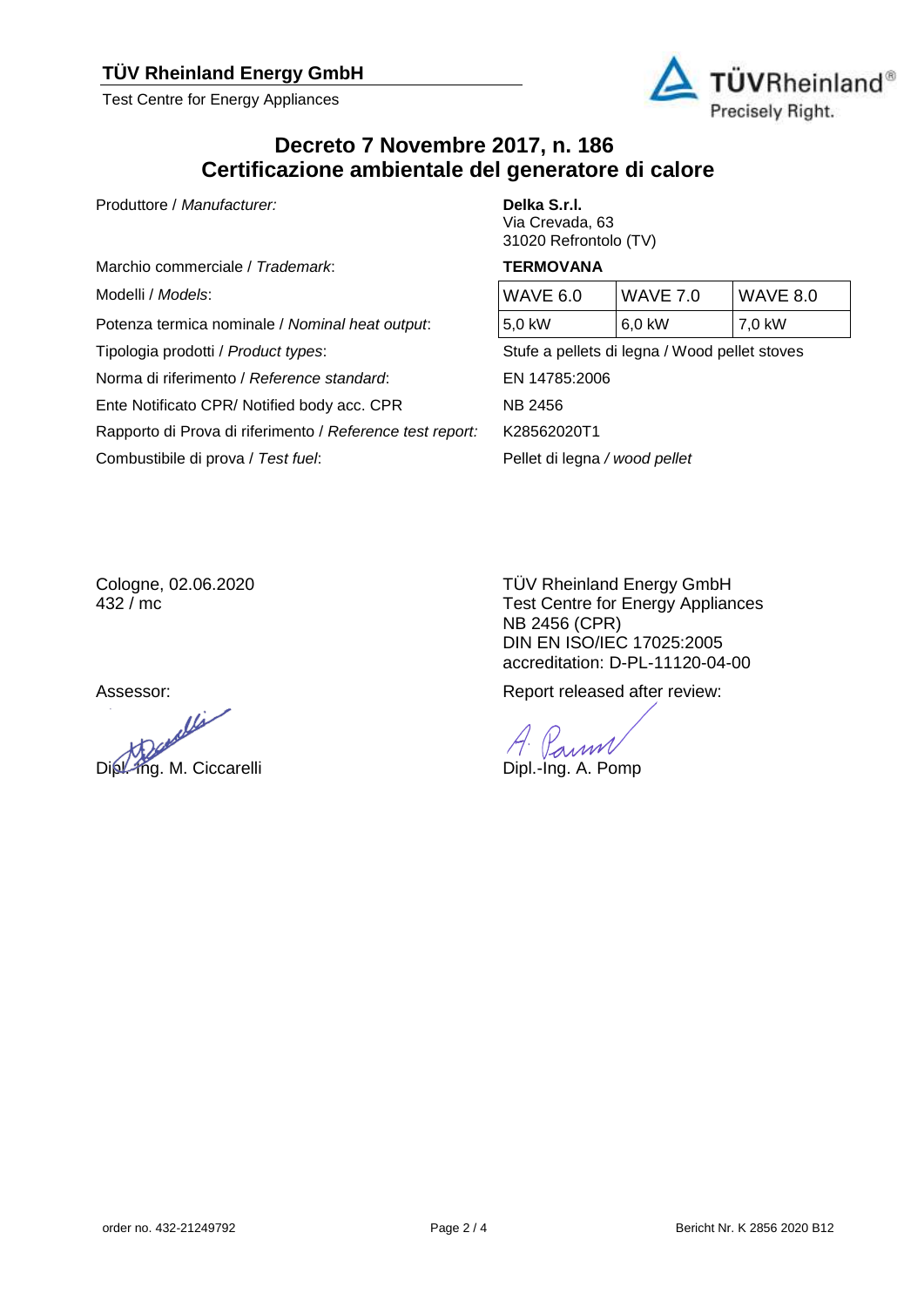Test Centre for Energy Appliances



## **Decreto 7 Novembre 2017, n. 186 Certificazione ambientale del generatore di calore**

Produttore / *Manufacturer:* **Delka S.r.l.** 

Marchio commerciale / *Trademark*: **TERMOVANA**

Modelli / Models:

Potenza termica nominale / *Nominal heat output*:

Norma di riferimento / *Reference standard*: EN 14785:2006

Ente Notificato CPR/ Notified body acc. CPR NB 2456

Rapporto di Prova di riferimento / *Reference test report:* K28562020T1

Combustibile di prova / *Test fuel*: Pellet di legna */ wood pellet*

# Via Crevada, 63 31020 Refrontolo (TV)

| WAVE 6.0 | <b>WAVE 7.0</b> | <b>WAVE 8.0</b> |
|----------|-----------------|-----------------|
| 5,0 kW   | 6,0 kW          | $\sqrt{7.0}$ kW |

Tipologia prodotti / *Product types*: Stufe a pellets di legna / Wood pellet stoves

Cologne, 02.06.2020 432 / mc

ollis Dipl.-Ing. M. Ciccarelli Dipl.-Ing. A. Pomp

TÜV Rheinland Energy GmbH Test Centre for Energy Appliances NB 2456 (CPR) DIN EN ISO/IEC 17025:2005 accreditation: D-PL-11120-04-00

Assessor:  $\blacksquare$  Report released after review:

Parmi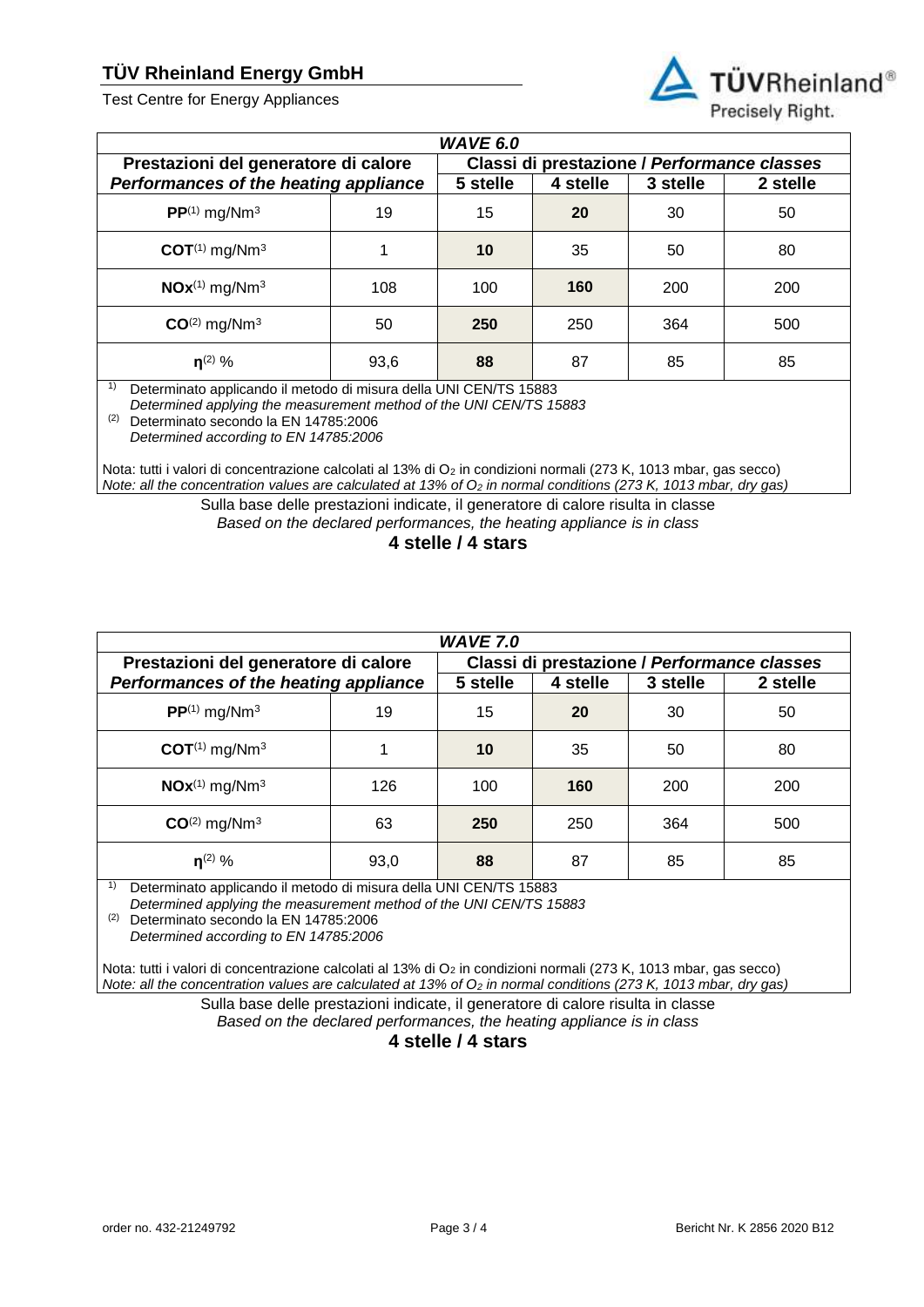Test Centre for Energy Appliances



| <b>WAVE 6.0</b>                       |      |                                             |          |          |          |
|---------------------------------------|------|---------------------------------------------|----------|----------|----------|
| Prestazioni del generatore di calore  |      | Classi di prestazione / Performance classes |          |          |          |
| Performances of the heating appliance |      | 5 stelle                                    | 4 stelle | 3 stelle | 2 stelle |
| $PP^{(1)}$ mg/Nm <sup>3</sup>         | 19   | 15                                          | 20       | 30       | 50       |
| $COT^{(1)}$ mg/Nm <sup>3</sup>        |      | 10                                          | 35       | 50       | 80       |
| $NOx^{(1)}$ mg/Nm <sup>3</sup>        | 108  | 100                                         | 160      | 200      | 200      |
| $CO(2)$ mg/Nm <sup>3</sup>            | 50   | 250                                         | 250      | 364      | 500      |
| $n^{(2)}$ %                           | 93,6 | 88                                          | 87       | 85       | 85       |

1) Determinato applicando il metodo di misura della UNI CEN/TS 15883

*Determined applying the measurement method of the UNI CEN/TS 15883*

(2) Determinato secondo la EN 14785:2006

*Determined according to EN 14785:2006*

Nota: tutti i valori di concentrazione calcolati al 13% di O<sub>2</sub> in condizioni normali (273 K, 1013 mbar, gas secco) *Note: all the concentration values are calculated at 13% of O<sup>2</sup> in normal conditions (273 K, 1013 mbar, dry gas)*

> Sulla base delle prestazioni indicate, il generatore di calore risulta in classe *Based on the declared performances, the heating appliance is in class*

> > **4 stelle / 4 stars**

| <b>WAVE 7.0</b>                       |      |                                             |          |          |          |
|---------------------------------------|------|---------------------------------------------|----------|----------|----------|
| Prestazioni del generatore di calore  |      | Classi di prestazione / Performance classes |          |          |          |
| Performances of the heating appliance |      | 5 stelle                                    | 4 stelle | 3 stelle | 2 stelle |
| $PP^{(1)}$ mg/Nm <sup>3</sup>         | 19   | 15                                          | 20       | 30       | 50       |
| $COT^{(1)}$ mg/Nm <sup>3</sup>        |      | 10                                          | 35       | 50       | 80       |
| $NOx^{(1)}$ mg/Nm <sup>3</sup>        | 126  | 100                                         | 160      | 200      | 200      |
| $CO(2)$ mg/Nm <sup>3</sup>            | 63   | 250                                         | 250      | 364      | 500      |
| $n^{(2)}$ %                           | 93,0 | 88                                          | 87       | 85       | 85       |

1) Determinato applicando il metodo di misura della UNI CEN/TS 15883

*Determined applying the measurement method of the UNI CEN/TS 15883*

(2) Determinato secondo la EN 14785:2006

*Determined according to EN 14785:2006*

Nota: tutti i valori di concentrazione calcolati al 13% di O<sub>2</sub> in condizioni normali (273 K, 1013 mbar, gas secco) *Note: all the concentration values are calculated at 13% of O<sub>2</sub> in normal conditions (273 K, 1013 mbar, dry gas)* 

> Sulla base delle prestazioni indicate, il generatore di calore risulta in classe *Based on the declared performances, the heating appliance is in class*

**4 stelle / 4 stars**